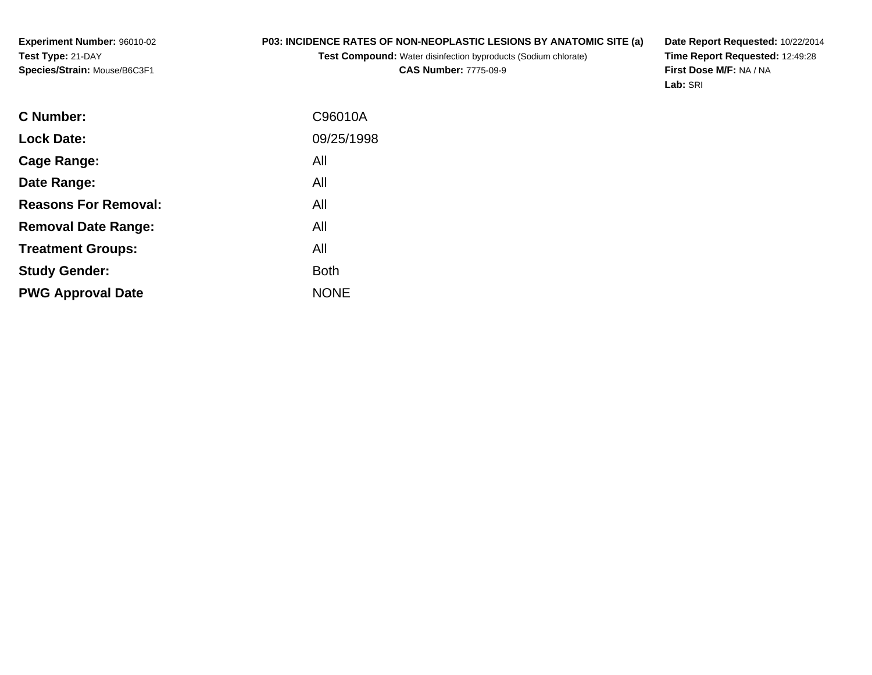**Experiment Number:** 96010-02**Test Type:** 21-DAY**Species/Strain:** Mouse/B6C3F1

## **P03: INCIDENCE RATES OF NON-NEOPLASTIC LESIONS BY ANATOMIC SITE (a)**

**Test Compound:** Water disinfection byproducts (Sodium chlorate)

**CAS Number:** 7775-09-9

**Date Report Requested:** 10/22/2014 **Time Report Requested:** 12:49:28**First Dose M/F:** NA / NA**Lab:** SRI

| <b>Lock Date:</b><br>All<br>Cage Range:<br>All<br>Date Range:<br><b>Reasons For Removal:</b><br>All<br>All<br><b>Removal Date Range:</b><br>All<br><b>Treatment Groups:</b><br><b>Study Gender:</b><br><b>Both</b><br><b>NONE</b><br><b>PWG Approval Date</b> | <b>C</b> Number: | C96010A    |
|---------------------------------------------------------------------------------------------------------------------------------------------------------------------------------------------------------------------------------------------------------------|------------------|------------|
|                                                                                                                                                                                                                                                               |                  | 09/25/1998 |
|                                                                                                                                                                                                                                                               |                  |            |
|                                                                                                                                                                                                                                                               |                  |            |
|                                                                                                                                                                                                                                                               |                  |            |
|                                                                                                                                                                                                                                                               |                  |            |
|                                                                                                                                                                                                                                                               |                  |            |
|                                                                                                                                                                                                                                                               |                  |            |
|                                                                                                                                                                                                                                                               |                  |            |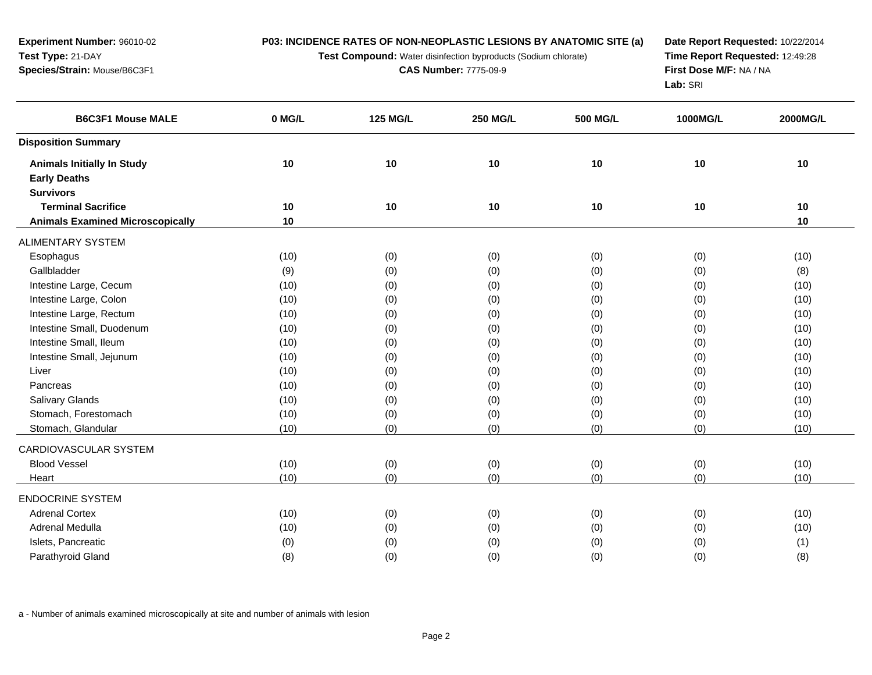**P03: INCIDENCE RATES OF NON-NEOPLASTIC LESIONS BY ANATOMIC SITE (a)**

**Test Compound:** Water disinfection byproducts (Sodium chlorate)

**CAS Number:** 7775-09-9

**Date Report Requested:** 10/22/2014**Time Report Requested:** 12:49:28**First Dose M/F:** NA / NA**Lab:** SRI

| <b>B6C3F1 Mouse MALE</b>                | 0 MG/L | <b>125 MG/L</b> | <b>250 MG/L</b> | <b>500 MG/L</b> | 1000MG/L | 2000MG/L |
|-----------------------------------------|--------|-----------------|-----------------|-----------------|----------|----------|
| <b>Disposition Summary</b>              |        |                 |                 |                 |          |          |
| <b>Animals Initially In Study</b>       | 10     | 10              | 10              | 10              | 10       | 10       |
| <b>Early Deaths</b>                     |        |                 |                 |                 |          |          |
| <b>Survivors</b>                        |        |                 |                 |                 |          |          |
| <b>Terminal Sacrifice</b>               | 10     | 10              | 10              | 10              | 10       | 10       |
| <b>Animals Examined Microscopically</b> | 10     |                 |                 |                 |          | 10       |
| <b>ALIMENTARY SYSTEM</b>                |        |                 |                 |                 |          |          |
| Esophagus                               | (10)   | (0)             | (0)             | (0)             | (0)      | (10)     |
| Gallbladder                             | (9)    | (0)             | (0)             | (0)             | (0)      | (8)      |
| Intestine Large, Cecum                  | (10)   | (0)             | (0)             | (0)             | (0)      | (10)     |
| Intestine Large, Colon                  | (10)   | (0)             | (0)             | (0)             | (0)      | (10)     |
| Intestine Large, Rectum                 | (10)   | (0)             | (0)             | (0)             | (0)      | (10)     |
| Intestine Small, Duodenum               | (10)   | (0)             | (0)             | (0)             | (0)      | (10)     |
| Intestine Small, Ileum                  | (10)   | (0)             | (0)             | (0)             | (0)      | (10)     |
| Intestine Small, Jejunum                | (10)   | (0)             | (0)             | (0)             | (0)      | (10)     |
| Liver                                   | (10)   | (0)             | (0)             | (0)             | (0)      | (10)     |
| Pancreas                                | (10)   | (0)             | (0)             | (0)             | (0)      | (10)     |
| Salivary Glands                         | (10)   | (0)             | (0)             | (0)             | (0)      | (10)     |
| Stomach, Forestomach                    | (10)   | (0)             | (0)             | (0)             | (0)      | (10)     |
| Stomach, Glandular                      | (10)   | (0)             | (0)             | (0)             | (0)      | (10)     |
| CARDIOVASCULAR SYSTEM                   |        |                 |                 |                 |          |          |
| <b>Blood Vessel</b>                     | (10)   | (0)             | (0)             | (0)             | (0)      | (10)     |
| Heart                                   | (10)   | (0)             | (0)             | (0)             | (0)      | (10)     |
| <b>ENDOCRINE SYSTEM</b>                 |        |                 |                 |                 |          |          |
| <b>Adrenal Cortex</b>                   | (10)   | (0)             | (0)             | (0)             | (0)      | (10)     |
| Adrenal Medulla                         | (10)   | (0)             | (0)             | (0)             | (0)      | (10)     |
| Islets, Pancreatic                      | (0)    | (0)             | (0)             | (0)             | (0)      | (1)      |
| Parathyroid Gland                       | (8)    | (0)             | (0)             | (0)             | (0)      | (8)      |
|                                         |        |                 |                 |                 |          |          |

a - Number of animals examined microscopically at site and number of animals with lesion

**Experiment Number:** 96010-02**Test Type:** 21-DAY**Species/Strain:** Mouse/B6C3F1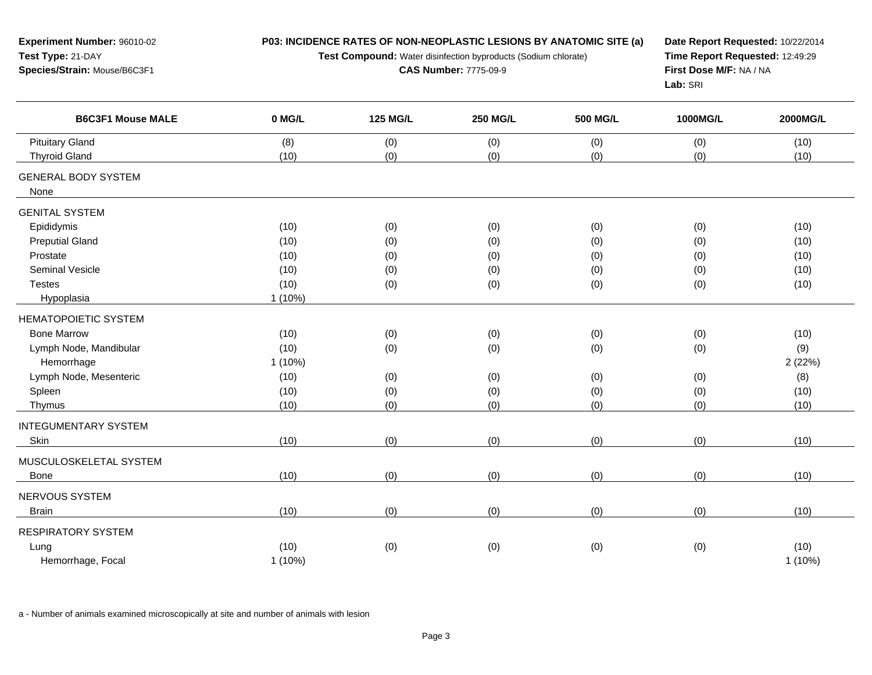| Experiment Number: 96010-02<br>Test Type: 21-DAY<br>Species/Strain: Mouse/B6C3F1 | P03: INCIDENCE RATES OF NON-NEOPLASTIC LESIONS BY ANATOMIC SITE (a)<br>Test Compound: Water disinfection byproducts (Sodium chlorate)<br><b>CAS Number: 7775-09-9</b> |                 |                 |                 | Date Report Requested: 10/22/2014<br>Time Report Requested: 12:49:29<br>First Dose M/F: NA / NA<br>Lab: SRI |          |
|----------------------------------------------------------------------------------|-----------------------------------------------------------------------------------------------------------------------------------------------------------------------|-----------------|-----------------|-----------------|-------------------------------------------------------------------------------------------------------------|----------|
| <b>B6C3F1 Mouse MALE</b>                                                         | 0 MG/L                                                                                                                                                                | <b>125 MG/L</b> | <b>250 MG/L</b> | <b>500 MG/L</b> | 1000MG/L                                                                                                    | 2000MG/L |
| <b>Pituitary Gland</b>                                                           | (8)                                                                                                                                                                   | (0)             | (0)             | (0)             | (0)                                                                                                         | (10)     |
| <b>Thyroid Gland</b>                                                             | (10)                                                                                                                                                                  | (0)             | (0)             | (0)             | (0)                                                                                                         | (10)     |
| <b>GENERAL BODY SYSTEM</b><br>None                                               |                                                                                                                                                                       |                 |                 |                 |                                                                                                             |          |
| <b>GENITAL SYSTEM</b>                                                            |                                                                                                                                                                       |                 |                 |                 |                                                                                                             |          |
| Epididymis                                                                       | (10)                                                                                                                                                                  | (0)             | (0)             | (0)             | (0)                                                                                                         | (10)     |
| <b>Preputial Gland</b>                                                           | (10)                                                                                                                                                                  | (0)             | (0)             | (0)             | (0)                                                                                                         | (10)     |
| Prostate                                                                         | (10)                                                                                                                                                                  | (0)             | (0)             | (0)             | (0)                                                                                                         | (10)     |
| Seminal Vesicle                                                                  | (10)                                                                                                                                                                  | (0)             | (0)             | (0)             | (0)                                                                                                         | (10)     |
| <b>Testes</b>                                                                    | (10)                                                                                                                                                                  | (0)             | (0)             | (0)             | (0)                                                                                                         | (10)     |
| Hypoplasia                                                                       | $1(10\%)$                                                                                                                                                             |                 |                 |                 |                                                                                                             |          |
| <b>HEMATOPOIETIC SYSTEM</b>                                                      |                                                                                                                                                                       |                 |                 |                 |                                                                                                             |          |
| <b>Bone Marrow</b>                                                               | (10)                                                                                                                                                                  | (0)             | (0)             | (0)             | (0)                                                                                                         | (10)     |
| Lymph Node, Mandibular                                                           | (10)                                                                                                                                                                  | (0)             | (0)             | (0)             | (0)                                                                                                         | (9)      |
| Hemorrhage                                                                       | $1(10\%)$                                                                                                                                                             |                 |                 |                 |                                                                                                             | 2(22%)   |
| Lymph Node, Mesenteric                                                           | (10)                                                                                                                                                                  | (0)             | (0)             | (0)             | (0)                                                                                                         | (8)      |
| Spleen                                                                           | (10)                                                                                                                                                                  | (0)             | (0)             | (0)             | (0)                                                                                                         | (10)     |
| Thymus                                                                           | (10)                                                                                                                                                                  | (0)             | (0)             | (0)             | (0)                                                                                                         | (10)     |
| <b>INTEGUMENTARY SYSTEM</b>                                                      |                                                                                                                                                                       |                 |                 |                 |                                                                                                             |          |
| Skin                                                                             | (10)                                                                                                                                                                  | (0)             | (0)             | (0)             | (0)                                                                                                         | (10)     |
| MUSCULOSKELETAL SYSTEM                                                           |                                                                                                                                                                       |                 |                 |                 |                                                                                                             |          |
| <b>Bone</b>                                                                      | (10)                                                                                                                                                                  | (0)             | (0)             | (0)             | (0)                                                                                                         | (10)     |
| NERVOUS SYSTEM                                                                   |                                                                                                                                                                       |                 |                 |                 |                                                                                                             |          |
| <b>Brain</b>                                                                     | (10)                                                                                                                                                                  | (0)             | (0)             | (0)             | (0)                                                                                                         | (10)     |
| <b>RESPIRATORY SYSTEM</b>                                                        |                                                                                                                                                                       |                 |                 |                 |                                                                                                             |          |
| Lung                                                                             | (10)                                                                                                                                                                  | (0)             | (0)             | (0)             | (0)                                                                                                         | (10)     |
| Hemorrhage, Focal                                                                | 1(10%)                                                                                                                                                                |                 |                 |                 |                                                                                                             | 1 (10%)  |
|                                                                                  |                                                                                                                                                                       |                 |                 |                 |                                                                                                             |          |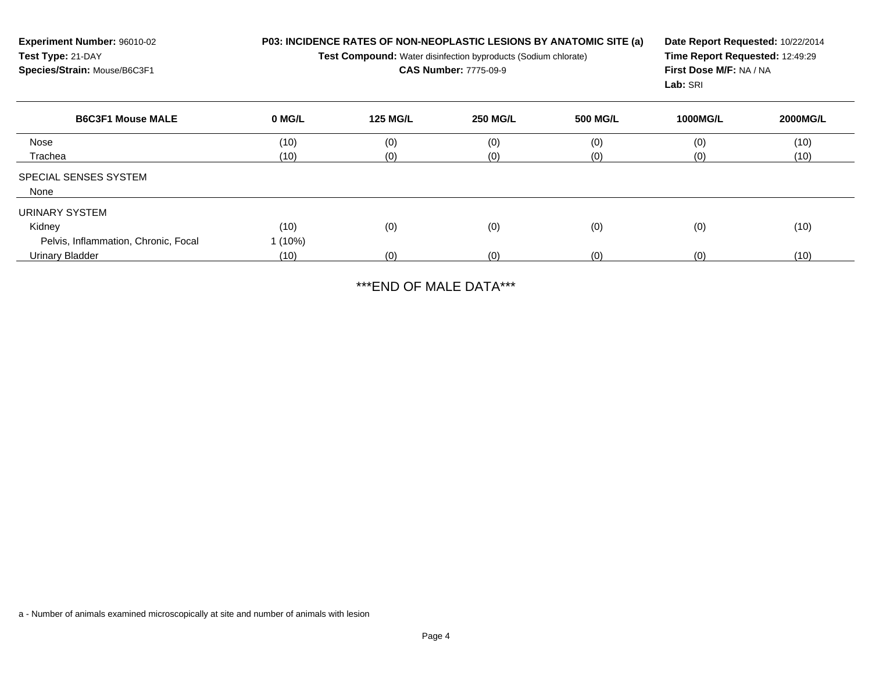| Experiment Number: 96010-02<br>Test Type: 21-DAY<br>Species/Strain: Mouse/B6C3F1 |           | P03: INCIDENCE RATES OF NON-NEOPLASTIC LESIONS BY ANATOMIC SITE (a)<br>Date Report Requested: 10/22/2014<br><b>Test Compound:</b> Water disinfection byproducts (Sodium chlorate)<br>Time Report Requested: 12:49:29<br><b>CAS Number: 7775-09-9</b><br>First Dose M/F: NA / NA<br>Lab: SRI |                 |                 |                 |                 |
|----------------------------------------------------------------------------------|-----------|---------------------------------------------------------------------------------------------------------------------------------------------------------------------------------------------------------------------------------------------------------------------------------------------|-----------------|-----------------|-----------------|-----------------|
| <b>B6C3F1 Mouse MALE</b>                                                         | 0 MG/L    | <b>125 MG/L</b>                                                                                                                                                                                                                                                                             | <b>250 MG/L</b> | <b>500 MG/L</b> | <b>1000MG/L</b> | <b>2000MG/L</b> |
| Nose                                                                             | (10)      | (0)                                                                                                                                                                                                                                                                                         | (0)             | (0)             | (0)             | (10)            |
| Trachea                                                                          | (10)      | (0)                                                                                                                                                                                                                                                                                         | (0)             | (0)             | (0)             | (10)            |
| <b>SPECIAL SENSES SYSTEM</b>                                                     |           |                                                                                                                                                                                                                                                                                             |                 |                 |                 |                 |
| None                                                                             |           |                                                                                                                                                                                                                                                                                             |                 |                 |                 |                 |
| URINARY SYSTEM                                                                   |           |                                                                                                                                                                                                                                                                                             |                 |                 |                 |                 |
| Kidney                                                                           | (10)      | (0)                                                                                                                                                                                                                                                                                         | (0)             | (0)             | (0)             | (10)            |
| Pelvis, Inflammation, Chronic, Focal                                             | $1(10\%)$ |                                                                                                                                                                                                                                                                                             |                 |                 |                 |                 |
| Urinary Bladder                                                                  | (10)      | (0)                                                                                                                                                                                                                                                                                         | (0)             | (0)             | (0)             | (10)            |

\*\*\*END OF MALE DATA\*\*\*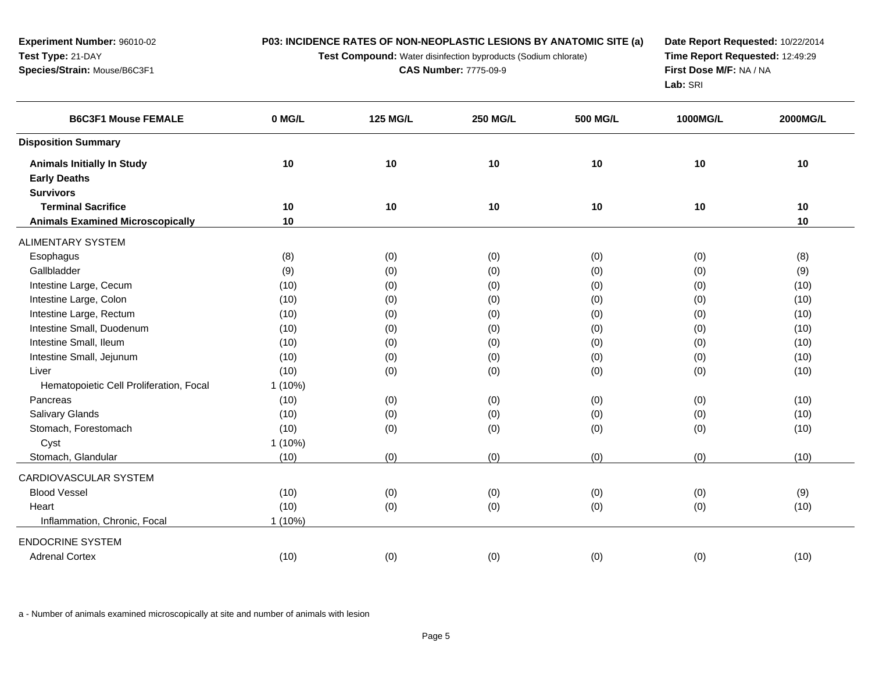**P03: INCIDENCE RATES OF NON-NEOPLASTIC LESIONS BY ANATOMIC SITE (a)**

**Test Compound:** Water disinfection byproducts (Sodium chlorate)

**CAS Number:** 7775-09-9

**Date Report Requested:** 10/22/2014**Time Report Requested:** 12:49:29**First Dose M/F:** NA / NA**Lab:** SRI

| <b>B6C3F1 Mouse FEMALE</b>              | 0 MG/L    | <b>125 MG/L</b> | <b>250 MG/L</b> | <b>500 MG/L</b> | 1000MG/L | 2000MG/L |
|-----------------------------------------|-----------|-----------------|-----------------|-----------------|----------|----------|
| <b>Disposition Summary</b>              |           |                 |                 |                 |          |          |
| <b>Animals Initially In Study</b>       | 10        | 10              | 10              | 10              | 10       | 10       |
| <b>Early Deaths</b>                     |           |                 |                 |                 |          |          |
| <b>Survivors</b>                        |           |                 |                 |                 |          |          |
| <b>Terminal Sacrifice</b>               | 10        | 10              | 10              | $10$            | 10       | 10       |
| <b>Animals Examined Microscopically</b> | 10        |                 |                 |                 |          | 10       |
| <b>ALIMENTARY SYSTEM</b>                |           |                 |                 |                 |          |          |
| Esophagus                               | (8)       | (0)             | (0)             | (0)             | (0)      | (8)      |
| Gallbladder                             | (9)       | (0)             | (0)             | (0)             | (0)      | (9)      |
| Intestine Large, Cecum                  | (10)      | (0)             | (0)             | (0)             | (0)      | (10)     |
| Intestine Large, Colon                  | (10)      | (0)             | (0)             | (0)             | (0)      | (10)     |
| Intestine Large, Rectum                 | (10)      | (0)             | (0)             | (0)             | (0)      | (10)     |
| Intestine Small, Duodenum               | (10)      | (0)             | (0)             | (0)             | (0)      | (10)     |
| Intestine Small, Ileum                  | (10)      | (0)             | (0)             | (0)             | (0)      | (10)     |
| Intestine Small, Jejunum                | (10)      | (0)             | (0)             | (0)             | (0)      | (10)     |
| Liver                                   | (10)      | (0)             | (0)             | (0)             | (0)      | (10)     |
| Hematopoietic Cell Proliferation, Focal | $1(10\%)$ |                 |                 |                 |          |          |
| Pancreas                                | (10)      | (0)             | (0)             | (0)             | (0)      | (10)     |
| <b>Salivary Glands</b>                  | (10)      | (0)             | (0)             | (0)             | (0)      | (10)     |
| Stomach, Forestomach                    | (10)      | (0)             | (0)             | (0)             | (0)      | (10)     |
| Cyst                                    | $1(10\%)$ |                 |                 |                 |          |          |
| Stomach, Glandular                      | (10)      | (0)             | (0)             | (0)             | (0)      | (10)     |
| CARDIOVASCULAR SYSTEM                   |           |                 |                 |                 |          |          |
| <b>Blood Vessel</b>                     | (10)      | (0)             | (0)             | (0)             | (0)      | (9)      |
| Heart                                   | (10)      | (0)             | (0)             | (0)             | (0)      | (10)     |
| Inflammation, Chronic, Focal            | 1(10%)    |                 |                 |                 |          |          |
| <b>ENDOCRINE SYSTEM</b>                 |           |                 |                 |                 |          |          |
| <b>Adrenal Cortex</b>                   | (10)      | (0)             | (0)             | (0)             | (0)      | (10)     |
|                                         |           |                 |                 |                 |          |          |

a - Number of animals examined microscopically at site and number of animals with lesion

**Experiment Number:** 96010-02

**Species/Strain:** Mouse/B6C3F1

**Test Type:** 21-DAY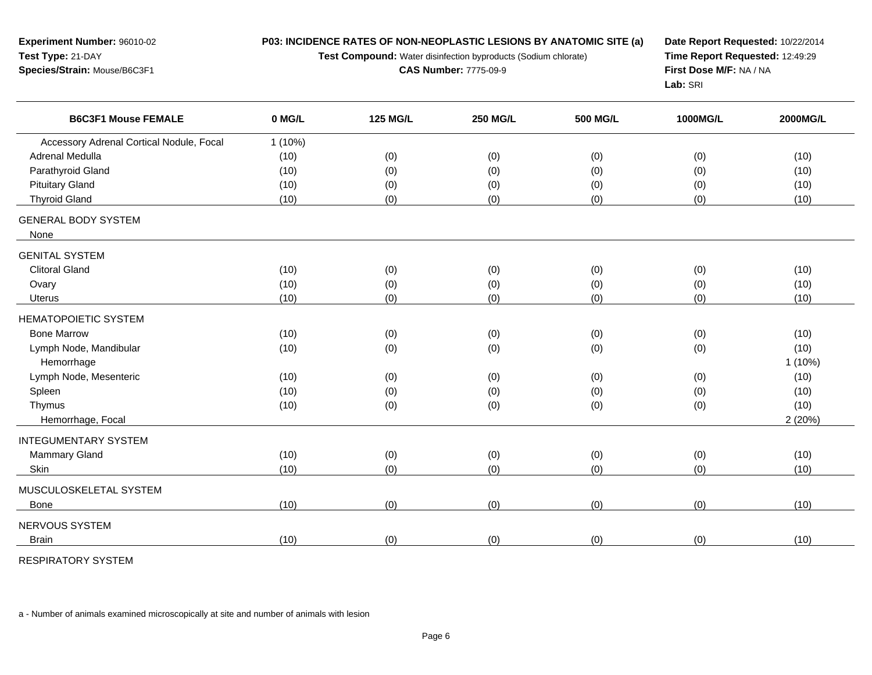**P03: INCIDENCE RATES OF NON-NEOPLASTIC LESIONS BY ANATOMIC SITE (a)**

**Test Compound:** Water disinfection byproducts (Sodium chlorate)

**CAS Number:** 7775-09-9

**Date Report Requested:** 10/22/2014**Time Report Requested:** 12:49:29**First Dose M/F:** NA / NA**Lab:** SRI

| <b>B6C3F1 Mouse FEMALE</b>               | 0 MG/L    | <b>125 MG/L</b> | <b>250 MG/L</b> | <b>500 MG/L</b> | <b>1000MG/L</b> | <b>2000MG/L</b> |
|------------------------------------------|-----------|-----------------|-----------------|-----------------|-----------------|-----------------|
| Accessory Adrenal Cortical Nodule, Focal | $1(10\%)$ |                 |                 |                 |                 |                 |
| <b>Adrenal Medulla</b>                   | (10)      | (0)             | (0)             | (0)             | (0)             | (10)            |
| Parathyroid Gland                        | (10)      | (0)             | (0)             | (0)             | (0)             | (10)            |
| <b>Pituitary Gland</b>                   | (10)      | (0)             | (0)             | (0)             | (0)             | (10)            |
| <b>Thyroid Gland</b>                     | (10)      | (0)             | (0)             | (0)             | (0)             | (10)            |
| <b>GENERAL BODY SYSTEM</b>               |           |                 |                 |                 |                 |                 |
| None                                     |           |                 |                 |                 |                 |                 |
| <b>GENITAL SYSTEM</b>                    |           |                 |                 |                 |                 |                 |
| <b>Clitoral Gland</b>                    | (10)      | (0)             | (0)             | (0)             | (0)             | (10)            |
| Ovary                                    | (10)      | (0)             | (0)             | (0)             | (0)             | (10)            |
| <b>Uterus</b>                            | (10)      | (0)             | (0)             | (0)             | (0)             | (10)            |
| <b>HEMATOPOIETIC SYSTEM</b>              |           |                 |                 |                 |                 |                 |
| <b>Bone Marrow</b>                       | (10)      | (0)             | (0)             | (0)             | (0)             | (10)            |
| Lymph Node, Mandibular                   | (10)      | (0)             | (0)             | (0)             | (0)             | (10)            |
| Hemorrhage                               |           |                 |                 |                 |                 | $1(10\%)$       |
| Lymph Node, Mesenteric                   | (10)      | (0)             | (0)             | (0)             | (0)             | (10)            |
| Spleen                                   | (10)      | (0)             | (0)             | (0)             | (0)             | (10)            |
| Thymus                                   | (10)      | (0)             | (0)             | (0)             | (0)             | (10)            |
| Hemorrhage, Focal                        |           |                 |                 |                 |                 | 2(20%)          |
| <b>INTEGUMENTARY SYSTEM</b>              |           |                 |                 |                 |                 |                 |
| Mammary Gland                            | (10)      | (0)             | (0)             | (0)             | (0)             | (10)            |
| Skin                                     | (10)      | (0)             | (0)             | (0)             | (0)             | (10)            |
| MUSCULOSKELETAL SYSTEM                   |           |                 |                 |                 |                 |                 |
| <b>Bone</b>                              | (10)      | (0)             | (0)             | (0)             | (0)             | (10)            |
| NERVOUS SYSTEM                           |           |                 |                 |                 |                 |                 |
| <b>Brain</b>                             | (10)      | (0)             | (0)             | (0)             | (0)             | (10)            |

RESPIRATORY SYSTEM

**Experiment Number:** 96010-02

**Species/Strain:** Mouse/B6C3F1

**Test Type:** 21-DAY